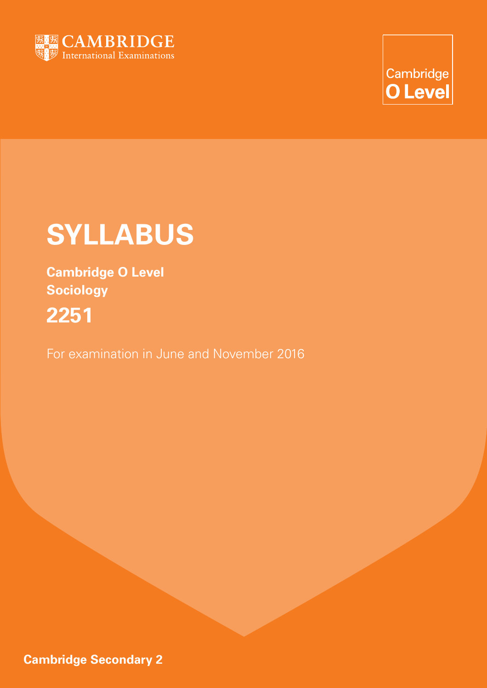

Cambridge **O** Level

# **SYLLABUS**

**Cambridge O Level Sociology 2251**

For examination in June and November 2016

**Cambridge Secondary 2**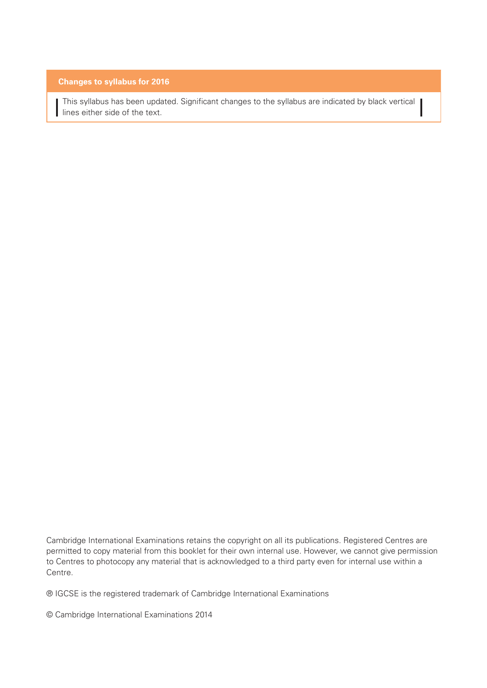#### **Changes to syllabus for 2016**

 This syllabus has been updated. Significant changes to the syllabus are indicated by black vertical l lines either side of the text.

Cambridge International Examinations retains the copyright on all its publications. Registered Centres are permitted to copy material from this booklet for their own internal use. However, we cannot give permission to Centres to photocopy any material that is acknowledged to a third party even for internal use within a Centre.

® IGCSE is the registered trademark of Cambridge International Examinations

© Cambridge International Examinations 2014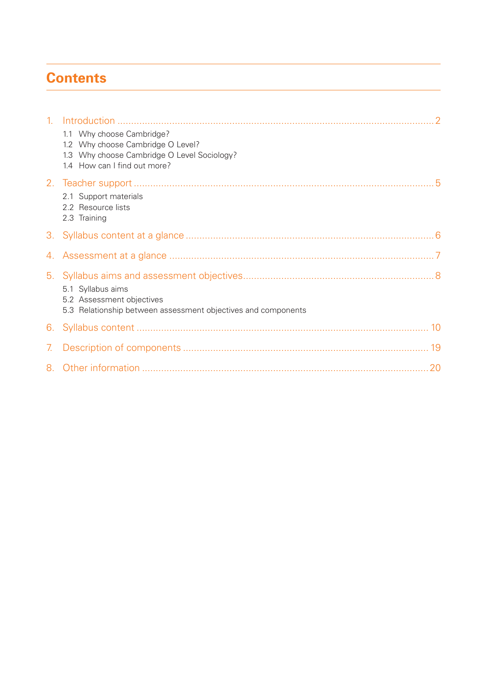# **Contents**

|                | 1.1 Why choose Cambridge?<br>1.2 Why choose Cambridge O Level?<br>1.3 Why choose Cambridge O Level Sociology?<br>1.4 How can I find out more? |  |
|----------------|-----------------------------------------------------------------------------------------------------------------------------------------------|--|
|                | 2.1 Support materials<br>2.2 Resource lists<br>2.3 Training                                                                                   |  |
|                |                                                                                                                                               |  |
|                |                                                                                                                                               |  |
|                | 5.1 Syllabus aims<br>5.2 Assessment objectives<br>5.3 Relationship between assessment objectives and components                               |  |
|                |                                                                                                                                               |  |
| 7 <sub>1</sub> |                                                                                                                                               |  |
|                |                                                                                                                                               |  |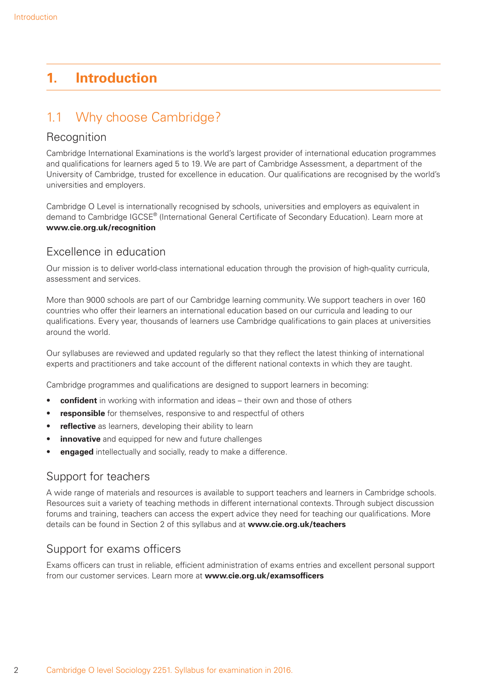# **1. Introduction**

# 1.1 Why choose Cambridge?

### Recognition

Cambridge International Examinations is the world's largest provider of international education programmes and qualifications for learners aged 5 to 19. We are part of Cambridge Assessment, a department of the University of Cambridge, trusted for excellence in education. Our qualifications are recognised by the world's universities and employers.

Cambridge O Level is internationally recognised by schools, universities and employers as equivalent in demand to Cambridge IGCSE® (International General Certificate of Secondary Education). Learn more at **www.cie.org.uk/recognition**

# Excellence in education

Our mission is to deliver world-class international education through the provision of high-quality curricula, assessment and services.

More than 9000 schools are part of our Cambridge learning community. We support teachers in over 160 countries who offer their learners an international education based on our curricula and leading to our qualifications. Every year, thousands of learners use Cambridge qualifications to gain places at universities around the world.

Our syllabuses are reviewed and updated regularly so that they reflect the latest thinking of international experts and practitioners and take account of the different national contexts in which they are taught.

Cambridge programmes and qualifications are designed to support learners in becoming:

- **confident** in working with information and ideas their own and those of others
- **responsible** for themselves, responsive to and respectful of others
- **reflective** as learners, developing their ability to learn
- **innovative** and equipped for new and future challenges
- **engaged** intellectually and socially, ready to make a difference.

### Support for teachers

A wide range of materials and resources is available to support teachers and learners in Cambridge schools. Resources suit a variety of teaching methods in different international contexts. Through subject discussion forums and training, teachers can access the expert advice they need for teaching our qualifications. More details can be found in Section 2 of this syllabus and at **www.cie.org.uk/teachers**

# Support for exams officers

Exams officers can trust in reliable, efficient administration of exams entries and excellent personal support from our customer services. Learn more at **www.cie.org.uk/examsofficers**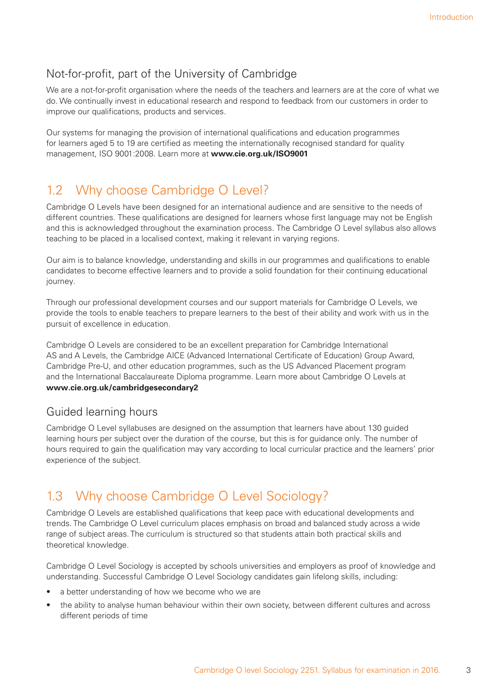# Not-for-profit, part of the University of Cambridge

We are a not-for-profit organisation where the needs of the teachers and learners are at the core of what we do. We continually invest in educational research and respond to feedback from our customers in order to improve our qualifications, products and services.

Our systems for managing the provision of international qualifications and education programmes for learners aged 5 to 19 are certified as meeting the internationally recognised standard for quality management, ISO 9001:2008. Learn more at **www.cie.org.uk/ISO9001**

# 1.2 Why choose Cambridge O Level?

Cambridge O Levels have been designed for an international audience and are sensitive to the needs of different countries. These qualifications are designed for learners whose first language may not be English and this is acknowledged throughout the examination process. The Cambridge O Level syllabus also allows teaching to be placed in a localised context, making it relevant in varying regions.

Our aim is to balance knowledge, understanding and skills in our programmes and qualifications to enable candidates to become effective learners and to provide a solid foundation for their continuing educational journey.

Through our professional development courses and our support materials for Cambridge O Levels, we provide the tools to enable teachers to prepare learners to the best of their ability and work with us in the pursuit of excellence in education.

Cambridge O Levels are considered to be an excellent preparation for Cambridge International AS and A Levels, the Cambridge AICE (Advanced International Certificate of Education) Group Award, Cambridge Pre-U, and other education programmes, such as the US Advanced Placement program and the International Baccalaureate Diploma programme. Learn more about Cambridge O Levels at **www.cie.org.uk/cambridgesecondary2**

# Guided learning hours

Cambridge O Level syllabuses are designed on the assumption that learners have about 130 guided learning hours per subject over the duration of the course, but this is for guidance only. The number of hours required to gain the qualification may vary according to local curricular practice and the learners' prior experience of the subject.

# 1.3 Why choose Cambridge O Level Sociology?

Cambridge O Levels are established qualifications that keep pace with educational developments and trends. The Cambridge O Level curriculum places emphasis on broad and balanced study across a wide range of subject areas. The curriculum is structured so that students attain both practical skills and theoretical knowledge.

Cambridge O Level Sociology is accepted by schools universities and employers as proof of knowledge and understanding. Successful Cambridge O Level Sociology candidates gain lifelong skills, including:

- a better understanding of how we become who we are
- the ability to analyse human behaviour within their own society, between different cultures and across different periods of time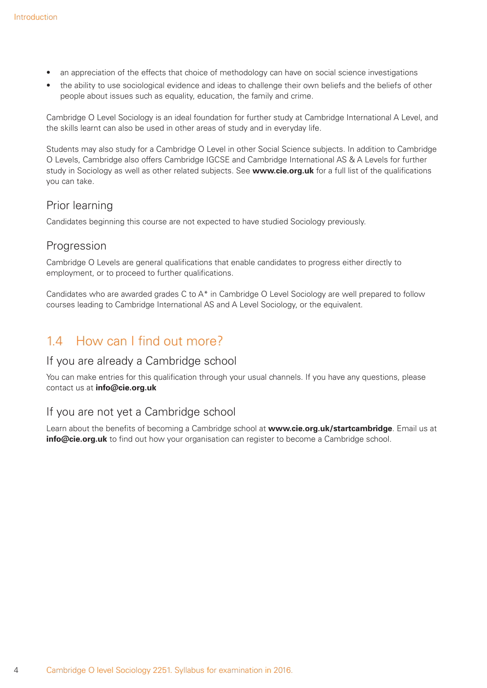- an appreciation of the effects that choice of methodology can have on social science investigations
- the ability to use sociological evidence and ideas to challenge their own beliefs and the beliefs of other people about issues such as equality, education, the family and crime.

Cambridge O Level Sociology is an ideal foundation for further study at Cambridge International A Level, and the skills learnt can also be used in other areas of study and in everyday life.

Students may also study for a Cambridge O Level in other Social Science subjects. In addition to Cambridge O Levels, Cambridge also offers Cambridge IGCSE and Cambridge International AS & A Levels for further study in Sociology as well as other related subjects. See **www.cie.org.uk** for a full list of the qualifications you can take.

### Prior learning

Candidates beginning this course are not expected to have studied Sociology previously.

### Progression

Cambridge O Levels are general qualifications that enable candidates to progress either directly to employment, or to proceed to further qualifications.

Candidates who are awarded grades C to A\* in Cambridge O Level Sociology are well prepared to follow courses leading to Cambridge International AS and A Level Sociology, or the equivalent.

# 1.4 How can I find out more?

### If you are already a Cambridge school

You can make entries for this qualification through your usual channels. If you have any questions, please contact us at **info@cie.org.uk**

### If you are not yet a Cambridge school

Learn about the benefits of becoming a Cambridge school at **www.cie.org.uk/startcambridge**. Email us at **info@cie.org.uk** to find out how your organisation can register to become a Cambridge school.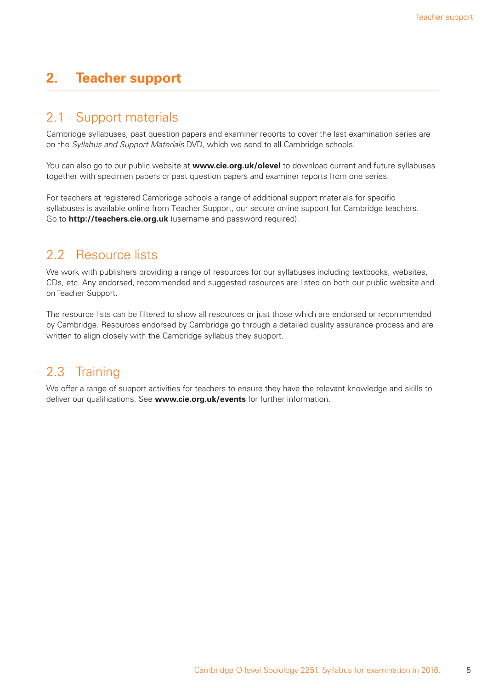# **2. Teacher support**

# 2.1 Support materials

Cambridge syllabuses, past question papers and examiner reports to cover the last examination series are on the *Syllabus and Support Materials* DVD, which we send to all Cambridge schools.

You can also go to our public website at **www.cie.org.uk/olevel** to download current and future syllabuses together with specimen papers or past question papers and examiner reports from one series.

For teachers at registered Cambridge schools a range of additional support materials for specific syllabuses is available online from Teacher Support, our secure online support for Cambridge teachers. Go to **http://teachers.cie.org.uk** (username and password required).

# 2.2 Resource lists

We work with publishers providing a range of resources for our syllabuses including textbooks, websites, CDs, etc. Any endorsed, recommended and suggested resources are listed on both our public website and on Teacher Support.

The resource lists can be filtered to show all resources or just those which are endorsed or recommended by Cambridge. Resources endorsed by Cambridge go through a detailed quality assurance process and are written to align closely with the Cambridge syllabus they support.

# 2.3 Training

We offer a range of support activities for teachers to ensure they have the relevant knowledge and skills to deliver our qualifications. See **www.cie.org.uk/events** for further information.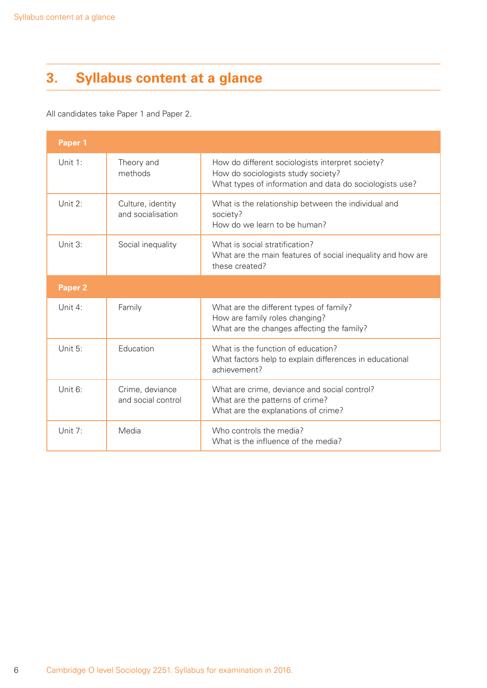# **3. Syllabus content at a glance**

All candidates take Paper 1 and Paper 2.

| Paper 1    |                                        |                                                                                                                                                   |  |  |  |  |
|------------|----------------------------------------|---------------------------------------------------------------------------------------------------------------------------------------------------|--|--|--|--|
| Unit 1:    | Theory and<br>methods                  | How do different sociologists interpret society?<br>How do sociologists study society?<br>What types of information and data do sociologists use? |  |  |  |  |
| Unit 2:    | Culture, identity<br>and socialisation | What is the relationship between the individual and<br>society?<br>How do we learn to be human?                                                   |  |  |  |  |
| Unit 3:    | Social inequality                      | What is social stratification?<br>What are the main features of social inequality and how are<br>these created?                                   |  |  |  |  |
| Paper 2    |                                        |                                                                                                                                                   |  |  |  |  |
| Unit 4:    | Family                                 | What are the different types of family?<br>How are family roles changing?<br>What are the changes affecting the family?                           |  |  |  |  |
| Unit 5:    | Education                              | What is the function of education?<br>What factors help to explain differences in educational<br>achievement?                                     |  |  |  |  |
| Unit $6$ : | Crime, deviance<br>and social control  | What are crime, deviance and social control?<br>What are the patterns of crime?<br>What are the explanations of crime?                            |  |  |  |  |
| Unit 7:    | Media                                  | Who controls the media?<br>What is the influence of the media?                                                                                    |  |  |  |  |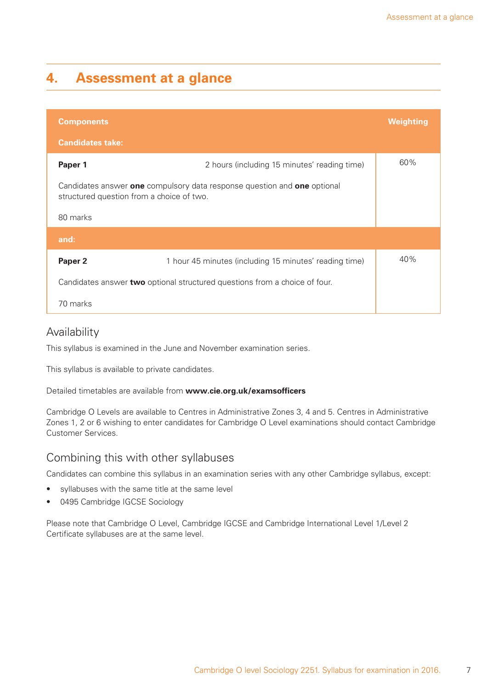# **4. Assessment at a glance**

| <b>Components</b>                                                                                                     | <b>Weighting</b>                                       |     |  |  |  |  |  |
|-----------------------------------------------------------------------------------------------------------------------|--------------------------------------------------------|-----|--|--|--|--|--|
| <b>Candidates take:</b>                                                                                               |                                                        |     |  |  |  |  |  |
| Paper 1                                                                                                               | 2 hours (including 15 minutes' reading time)           | 60% |  |  |  |  |  |
| Candidates answer one compulsory data response question and one optional<br>structured question from a choice of two. |                                                        |     |  |  |  |  |  |
| 80 marks                                                                                                              |                                                        |     |  |  |  |  |  |
| and:                                                                                                                  |                                                        |     |  |  |  |  |  |
| Paper 2                                                                                                               | 1 hour 45 minutes (including 15 minutes' reading time) | 40% |  |  |  |  |  |
| Candidates answer <b>two</b> optional structured questions from a choice of four.                                     |                                                        |     |  |  |  |  |  |
| 70 marks                                                                                                              |                                                        |     |  |  |  |  |  |

### Availability

This syllabus is examined in the June and November examination series.

This syllabus is available to private candidates.

Detailed timetables are available from **www.cie.org.uk/examsofficers**

Cambridge O Levels are available to Centres in Administrative Zones 3, 4 and 5. Centres in Administrative Zones 1, 2 or 6 wishing to enter candidates for Cambridge O Level examinations should contact Cambridge Customer Services.

### Combining this with other syllabuses

Candidates can combine this syllabus in an examination series with any other Cambridge syllabus, except:

- syllabuses with the same title at the same level
- 0495 Cambridge IGCSE Sociology

Please note that Cambridge O Level, Cambridge IGCSE and Cambridge International Level 1/Level 2 Certificate syllabuses are at the same level.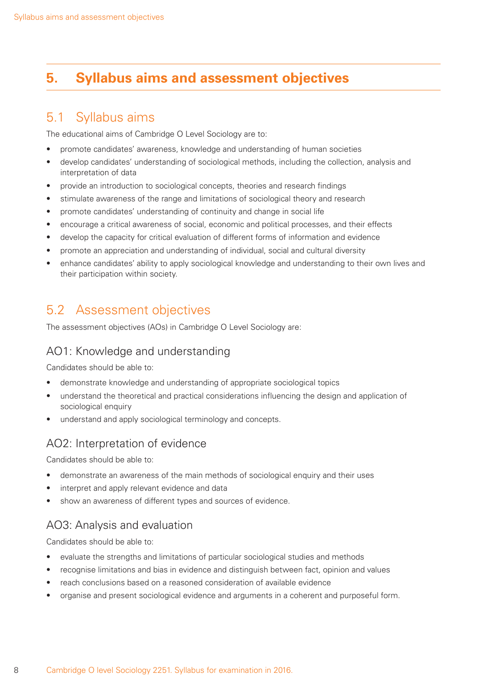# **5. Syllabus aims and assessment objectives**

# 5.1 Syllabus aims

The educational aims of Cambridge O Level Sociology are to:

- promote candidates' awareness, knowledge and understanding of human societies
- develop candidates' understanding of sociological methods, including the collection, analysis and interpretation of data
- provide an introduction to sociological concepts, theories and research findings
- stimulate awareness of the range and limitations of sociological theory and research
- promote candidates' understanding of continuity and change in social life
- encourage a critical awareness of social, economic and political processes, and their effects
- develop the capacity for critical evaluation of different forms of information and evidence
- promote an appreciation and understanding of individual, social and cultural diversity
- enhance candidates' ability to apply sociological knowledge and understanding to their own lives and their participation within society.

# 5.2 Assessment objectives

The assessment objectives (AOs) in Cambridge O Level Sociology are:

### AO1: Knowledge and understanding

Candidates should be able to:

- demonstrate knowledge and understanding of appropriate sociological topics
- understand the theoretical and practical considerations influencing the design and application of sociological enquiry
- understand and apply sociological terminology and concepts.

### AO2: Interpretation of evidence

Candidates should be able to:

- demonstrate an awareness of the main methods of sociological enquiry and their uses
- interpret and apply relevant evidence and data
- show an awareness of different types and sources of evidence.

### AO3: Analysis and evaluation

Candidates should be able to:

- evaluate the strengths and limitations of particular sociological studies and methods
- recognise limitations and bias in evidence and distinguish between fact, opinion and values
- reach conclusions based on a reasoned consideration of available evidence
- organise and present sociological evidence and arguments in a coherent and purposeful form.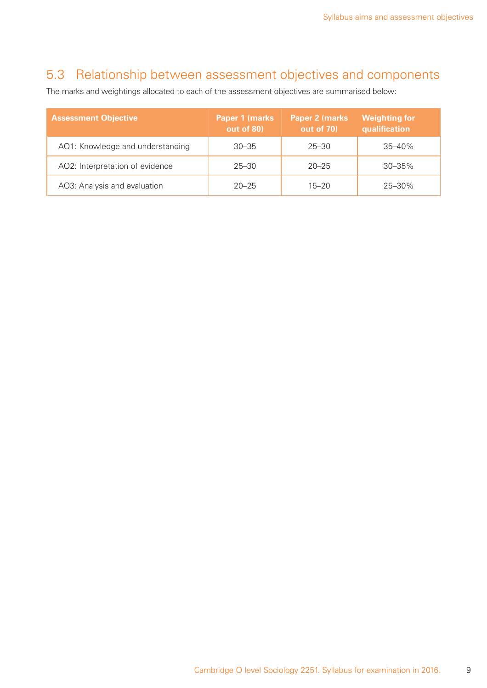# 5.3 Relationship between assessment objectives and components

The marks and weightings allocated to each of the assessment objectives are summarised below:

| <b>Assessment Objective</b>      | <b>Paper 1 (marks)</b><br>out of 80) | Paper 2 (marks<br>out of 70) | <b>Weighting for</b><br>qualification |
|----------------------------------|--------------------------------------|------------------------------|---------------------------------------|
| AO1: Knowledge and understanding | $30 - 35$                            | $25 - 30$                    | $35 - 40\%$                           |
| AO2: Interpretation of evidence  | $25 - 30$                            | $20 - 25$                    | $30 - 35\%$                           |
| AO3: Analysis and evaluation     | $20 - 25$                            | $15 - 20$                    | $25 - 30\%$                           |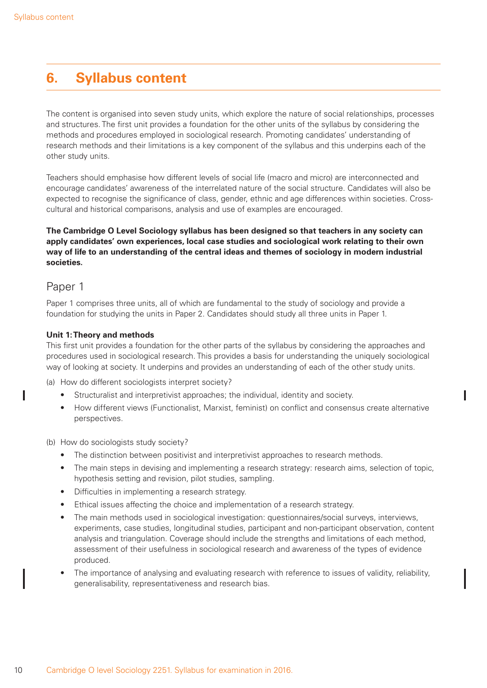# **6. Syllabus content**

The content is organised into seven study units, which explore the nature of social relationships, processes and structures. The first unit provides a foundation for the other units of the syllabus by considering the methods and procedures employed in sociological research. Promoting candidates' understanding of research methods and their limitations is a key component of the syllabus and this underpins each of the other study units.

Teachers should emphasise how different levels of social life (macro and micro) are interconnected and encourage candidates' awareness of the interrelated nature of the social structure. Candidates will also be expected to recognise the significance of class, gender, ethnic and age differences within societies. Crosscultural and historical comparisons, analysis and use of examples are encouraged.

#### **The Cambridge O Level Sociology syllabus has been designed so that teachers in any society can apply candidates' own experiences, local case studies and sociological work relating to their own way of life to an understanding of the central ideas and themes of sociology in modern industrial societies.**

### Paper 1

Paper 1 comprises three units, all of which are fundamental to the study of sociology and provide a foundation for studying the units in Paper 2. Candidates should study all three units in Paper 1.

#### **Unit 1: Theory and methods**

This first unit provides a foundation for the other parts of the syllabus by considering the approaches and procedures used in sociological research. This provides a basis for understanding the uniquely sociological way of looking at society. It underpins and provides an understanding of each of the other study units.

(a) How do different sociologists interpret society?

- Structuralist and interpretivist approaches; the individual, identity and society.
- How different views (Functionalist, Marxist, feminist) on conflict and consensus create alternative perspectives.

(b) How do sociologists study society?

- The distinction between positivist and interpretivist approaches to research methods.
- The main steps in devising and implementing a research strategy: research aims, selection of topic, hypothesis setting and revision, pilot studies, sampling.
- Difficulties in implementing a research strategy.
- Ethical issues affecting the choice and implementation of a research strategy.
- The main methods used in sociological investigation: questionnaires/social surveys, interviews, experiments, case studies, longitudinal studies, participant and non-participant observation, content analysis and triangulation. Coverage should include the strengths and limitations of each method, assessment of their usefulness in sociological research and awareness of the types of evidence produced.
- The importance of analysing and evaluating research with reference to issues of validity, reliability, generalisability, representativeness and research bias.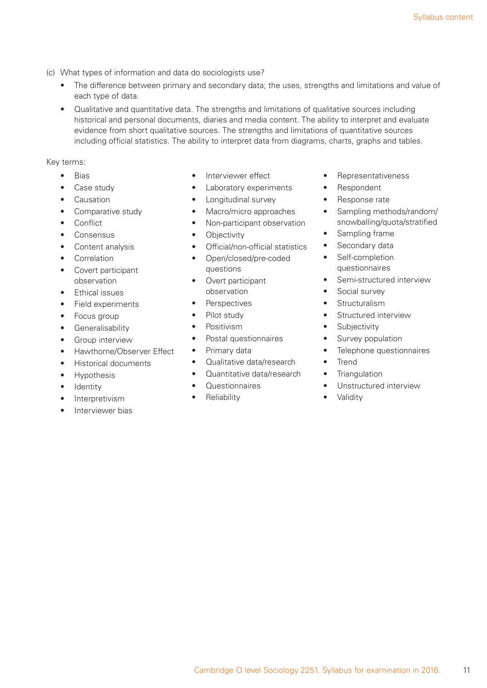- (c) What types of information and data do sociologists use?
	- The difference between primary and secondary data; the uses, strengths and limitations and value of each type of data.
	- Qualitative and quantitative data. The strengths and limitations of qualitative sources including historical and personal documents, diaries and media content. The ability to interpret and evaluate evidence from short qualitative sources. The strengths and limitations of quantitative sources including official statistics. The ability to interpret data from diagrams, charts, graphs and tables.

- Bias
- Case study
- Causation
- Comparative study
- Conflict
- Consensus
- Content analysis
- Correlation
- Covert participant observation
- Ethical issues
- Field experiments
- Focus group
- Generalisability
- Group interview
- Hawthorne/Observer Effect
- Historical documents
- Hypothesis
- Identity
- Interpretivism
- Interviewer bias
- Interviewer effect
- Laboratory experiments
- Longitudinal survey
- Macro/micro approaches
- Non-participant observation
- Objectivity
- Official/non-official statistics
- Open/closed/pre-coded questions
- Overt participant observation
- **Perspectives**
- Pilot study
- Positivism
- Postal questionnaires
- Primary data
- Qualitative data/research
- Quantitative data/research
- Questionnaires
- **Reliability**
- Representativeness
- Respondent
- Response rate
- Sampling methods/random/ snowballing/quota/stratified
- Sampling frame
- Secondary data
- Self-completion questionnaires
- Semi-structured interview
- Social survey
- Structuralism
- Structured interview
- Subjectivity
- Survey population
- Telephone questionnaires
- Trend
- Triangulation
- Unstructured interview
- Validity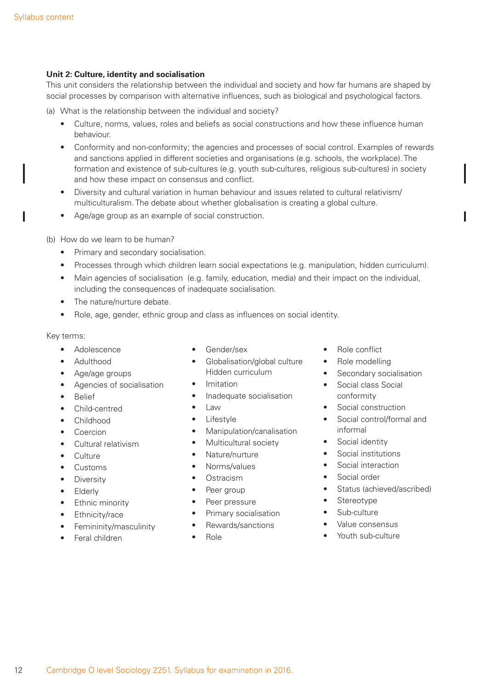#### **Unit 2: Culture, identity and socialisation**

This unit considers the relationship between the individual and society and how far humans are shaped by social processes by comparison with alternative influences, such as biological and psychological factors.

- (a) What is the relationship between the individual and society?
	- Culture, norms, values, roles and beliefs as social constructions and how these influence human behaviour.
	- Conformity and non-conformity; the agencies and processes of social control. Examples of rewards and sanctions applied in different societies and organisations (e.g. schools, the workplace). The formation and existence of sub-cultures (e.g. youth sub-cultures, religious sub-cultures) in society and how these impact on consensus and conflict.
	- Diversity and cultural variation in human behaviour and issues related to cultural relativism/ multiculturalism. The debate about whether globalisation is creating a global culture.
	- Age/age group as an example of social construction.

#### (b) How do we learn to be human?

- Primary and secondary socialisation.
- Processes through which children learn social expectations (e.g. manipulation, hidden curriculum).
- Main agencies of socialisation (e.g. family, education, media) and their impact on the individual, including the consequences of inadequate socialisation.
- The nature/nurture debate.
- Role, age, gender, ethnic group and class as influences on social identity.

- Adolescence
- Adulthood
- Age/age groups
- Agencies of socialisation
- **Belief**
- Child-centred
- Childhood
- Coercion
- Cultural relativism
- Culture
- Customs
- Diversity
- **Elderly**
- Ethnic minority
- Ethnicity/race
- Femininity/masculinity
- Feral children
- Gender/sex
- Globalisation/global culture Hidden curriculum
- Imitation
- Inadequate socialisation
- Law
- Lifestyle
- Manipulation/canalisation
- Multicultural society
- Nature/nurture
- Norms/values
- Ostracism
- Peer group
- Peer pressure
- Primary socialisation
- Rewards/sanctions
- Role
- Role conflict
- Role modelling
- Secondary socialisation
- Social class Social conformity
- Social construction
- Social control/formal and informal
- Social identity
- Social institutions
- Social interaction
- Social order
- Status (achieved/ascribed)
- **Stereotype**
- Sub-culture
- Value consensus
- Youth sub-culture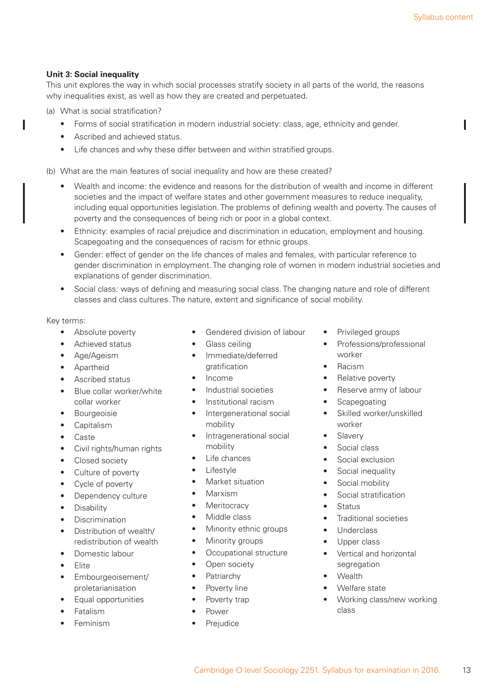#### **Unit 3: Social inequality**

ı

This unit explores the way in which social processes stratify society in all parts of the world, the reasons why inequalities exist, as well as how they are created and perpetuated.

- (a) What is social stratification?
	- Forms of social stratification in modern industrial society: class, age, ethnicity and gender.
	- Ascribed and achieved status.
	- Life chances and why these differ between and within stratified groups.

(b) What are the main features of social inequality and how are these created?

- Wealth and income: the evidence and reasons for the distribution of wealth and income in different societies and the impact of welfare states and other government measures to reduce inequality, including equal opportunities legislation. The problems of defining wealth and poverty. The causes of poverty and the consequences of being rich or poor in a global context.
- Ethnicity: examples of racial prejudice and discrimination in education, employment and housing. Scapegoating and the consequences of racism for ethnic groups.
- Gender: effect of gender on the life chances of males and females, with particular reference to gender discrimination in employment. The changing role of women in modern industrial societies and explanations of gender discrimination.
- Social class: ways of defining and measuring social class. The changing nature and role of different classes and class cultures. The nature, extent and significance of social mobility.

- Absolute poverty
- Achieved status
- Age/Ageism
- Apartheid
- Ascribed status
- Blue collar worker/white collar worker
- **Bourgeoisie**
- Capitalism
- Caste
- Civil rights/human rights
- Closed society
- Culture of poverty
- Cycle of poverty
- Dependency culture
- Disability
- Discrimination
- Distribution of wealth/ redistribution of wealth
- Domestic labour
- Elite
- Embourgeoisement/ proletarianisation
- Equal opportunities
- Fatalism
- Feminism
- Gendered division of labour
- Glass ceiling
- Immediate/deferred gratification
- Income
- Industrial societies
- Institutional racism
- Intergenerational social mobility
- Intragenerational social mobility
- Life chances
- **Lifestyle**
- Market situation
- Marxism
- **Meritocracy**
- Middle class
- Minority ethnic groups
- Minority groups
- Occupational structure
- Open society
- **Patriarchy**
- Poverty line
- Poverty trap
- Power
- **Prejudice**
- Privileged groups
- Professions/professional worker
- Racism
- Relative poverty
- Reserve army of labour
- **Scapegoating**
- Skilled worker/unskilled worker
- **Slavery**
- Social class
- Social exclusion
- Social inequality
- Social mobility
- Social stratification
- Status
- Traditional societies
- Underclass
- Upper class
- Vertical and horizontal segregation
- Wealth
- Welfare state
- Working class/new working class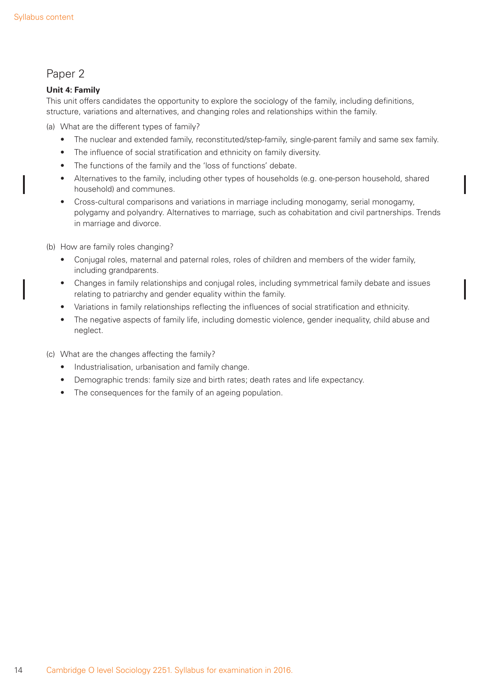### Paper 2

### **Unit 4: Family**

This unit offers candidates the opportunity to explore the sociology of the family, including definitions, structure, variations and alternatives, and changing roles and relationships within the family.

(a) What are the different types of family?

- The nuclear and extended family, reconstituted/step-family, single-parent family and same sex family.
- The influence of social stratification and ethnicity on family diversity.
- The functions of the family and the 'loss of functions' debate.
- Alternatives to the family, including other types of households (e.g. one-person household, shared household) and communes.
- Cross-cultural comparisons and variations in marriage including monogamy, serial monogamy, polygamy and polyandry. Alternatives to marriage, such as cohabitation and civil partnerships. Trends in marriage and divorce.
- (b) How are family roles changing?
	- Conjugal roles, maternal and paternal roles, roles of children and members of the wider family, including grandparents.
	- Changes in family relationships and conjugal roles, including symmetrical family debate and issues relating to patriarchy and gender equality within the family.
	- Variations in family relationships reflecting the influences of social stratification and ethnicity.
	- The negative aspects of family life, including domestic violence, gender inequality, child abuse and neglect.
- (c) What are the changes affecting the family?
	- Industrialisation, urbanisation and family change.
	- Demographic trends: family size and birth rates; death rates and life expectancy.
	- The consequences for the family of an ageing population.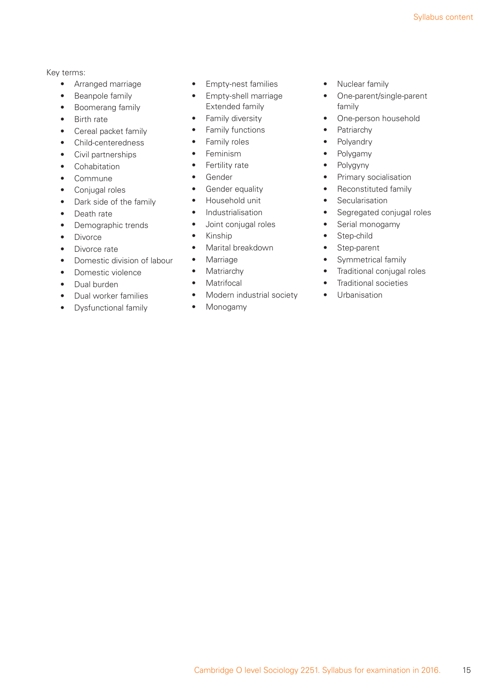- Arranged marriage
- Beanpole family
- Boomerang family
- Birth rate
- Cereal packet family
- Child-centeredness
- Civil partnerships
- Cohabitation
- Commune
- Conjugal roles
- Dark side of the family
- Death rate
- Demographic trends
- Divorce
- Divorce rate
- Domestic division of labour
- Domestic violence
- Dual burden
- Dual worker families
- Dysfunctional family
- Empty-nest families
- Empty-shell marriage Extended family
- Family diversity
- Family functions
- Family roles
- Feminism
- Fertility rate
- Gender
- Gender equality
- Household unit
- Industrialisation
- Joint conjugal roles
- Kinship
- Marital breakdown
- Marriage
- Matriarchy
- Matrifocal
- Modern industrial society
- Monogamy
- Nuclear family
- One-parent/single-parent family
- One-person household
- Patriarchy
- Polyandry
- Polygamy
- Polygyny
- Primary socialisation
- Reconstituted family
- Secularisation
- Segregated conjugal roles
- Serial monogamy
- Step-child
- Step-parent
- Symmetrical family
- Traditional conjugal roles
- Traditional societies
- Urbanisation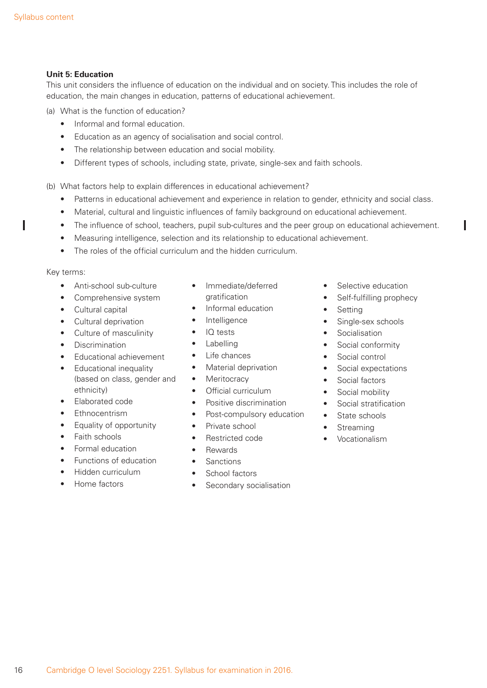#### **Unit 5: Education**

This unit considers the influence of education on the individual and on society. This includes the role of education, the main changes in education, patterns of educational achievement.

- (a) What is the function of education?
	- Informal and formal education.
	- Education as an agency of socialisation and social control.
	- The relationship between education and social mobility.
	- Different types of schools, including state, private, single-sex and faith schools.
- (b) What factors help to explain differences in educational achievement?
	- Patterns in educational achievement and experience in relation to gender, ethnicity and social class.
	- Material, cultural and linguistic influences of family background on educational achievement.
	- The influence of school, teachers, pupil sub-cultures and the peer group on educational achievement.
	- Measuring intelligence, selection and its relationship to educational achievement.
	- The roles of the official curriculum and the hidden curriculum.

#### Key terms:

ı

- Anti-school sub-culture
- Comprehensive system
- Cultural capital
- Cultural deprivation
- Culture of masculinity
- Discrimination
- Educational achievement
- Educational inequality (based on class, gender and ethnicity)
- Elaborated code
- Ethnocentrism
- Equality of opportunity
- Faith schools
- Formal education
- Functions of education
- Hidden curriculum
- Home factors
- Immediate/deferred gratification
- Informal education
- **Intelligence**
- IQ tests
- **Labelling**
- Life chances
- Material deprivation
- Meritocracy
- Official curriculum
- Positive discrimination
- Post-compulsory education
- Private school
- Restricted code
- Rewards
- **Sanctions**
- School factors
- Secondary socialisation
- Selective education
- Self-fulfilling prophecy
- Setting
- Single-sex schools
- Socialisation
- Social conformity
- Social control
- Social expectations
- Social factors
- Social mobility
- Social stratification
- State schools
- **Streaming**
- Vocationalism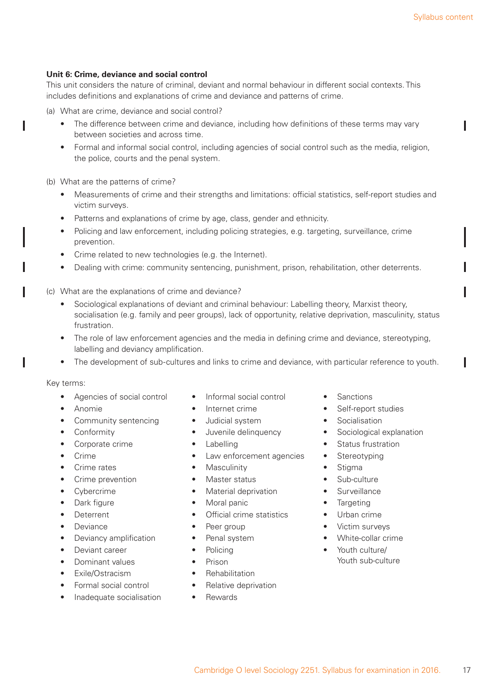#### **Unit 6: Crime, deviance and social control**

This unit considers the nature of criminal, deviant and normal behaviour in different social contexts. This includes definitions and explanations of crime and deviance and patterns of crime.

- (a) What are crime, deviance and social control?
	- The difference between crime and deviance, including how definitions of these terms may vary between societies and across time.
	- Formal and informal social control, including agencies of social control such as the media, religion, the police, courts and the penal system.

(b) What are the patterns of crime?

- Measurements of crime and their strengths and limitations: official statistics, self-report studies and victim surveys.
- Patterns and explanations of crime by age, class, gender and ethnicity.
- Policing and law enforcement, including policing strategies, e.g. targeting, surveillance, crime prevention.
- Crime related to new technologies (e.g. the Internet).
- Dealing with crime: community sentencing, punishment, prison, rehabilitation, other deterrents.
- (c) What are the explanations of crime and deviance?
	- Sociological explanations of deviant and criminal behaviour: Labelling theory, Marxist theory, socialisation (e.g. family and peer groups), lack of opportunity, relative deprivation, masculinity, status frustration.
	- The role of law enforcement agencies and the media in defining crime and deviance, stereotyping, labelling and deviancy amplification.
	- The development of sub-cultures and links to crime and deviance, with particular reference to youth.

#### Key terms:

I

I

- Agencies of social control
- Anomie
- Community sentencing
- Conformity
- Corporate crime
- Crime
- Crime rates
- Crime prevention
- **Cybercrime**
- Dark figure
- Deterrent
- Deviance
- Deviancy amplification
- Deviant career
- Dominant values
- Exile/Ostracism
- Formal social control
- Inadequate socialisation
- Informal social control
- Internet crime
- Judicial system
- Juvenile delinquency
- **Labelling**
- Law enforcement agencies
- **Masculinity**
- Master status
- Material deprivation
- Moral panic
- Official crime statistics
- Peer group
- Penal system
- **Policing**
- Prison
- **Rehabilitation**
- Relative deprivation
- Rewards
- **Sanctions**
- Self-report studies
- **Socialisation**
- Sociological explanation
- Status frustration
- Stereotyping
- **Stigma**
- Sub-culture
- Surveillance
- Targeting
- Urban crime
- Victim surveys
- White-collar crime
- Youth culture/ Youth sub-culture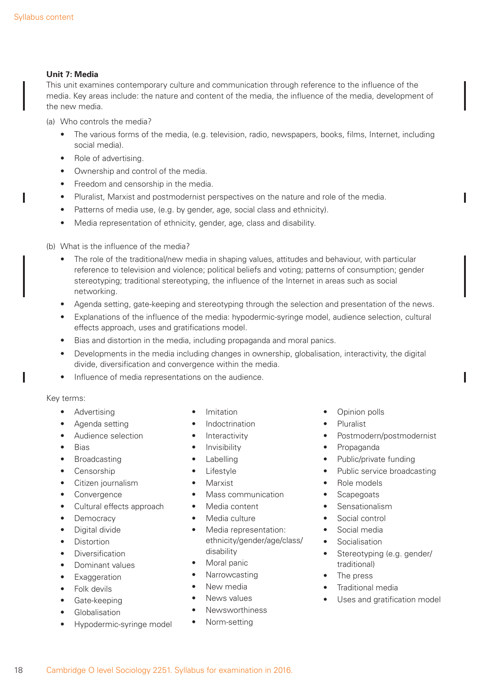ı

I

#### **Unit 7: Media**

This unit examines contemporary culture and communication through reference to the influence of the media. Key areas include: the nature and content of the media, the influence of the media, development of the new media.

- (a) Who controls the media?
	- The various forms of the media, (e.g. television, radio, newspapers, books, films, Internet, including social media).
	- Role of advertising.
	- Ownership and control of the media.
	- Freedom and censorship in the media.
	- Pluralist, Marxist and postmodernist perspectives on the nature and role of the media.
	- Patterns of media use, (e.g. by gender, age, social class and ethnicity).
	- Media representation of ethnicity, gender, age, class and disability.
- (b) What is the influence of the media?
	- The role of the traditional/new media in shaping values, attitudes and behaviour, with particular reference to television and violence; political beliefs and voting; patterns of consumption; gender stereotyping; traditional stereotyping, the influence of the Internet in areas such as social networking.
	- Agenda setting, gate-keeping and stereotyping through the selection and presentation of the news.
	- Explanations of the influence of the media: hypodermic-syringe model, audience selection, cultural effects approach, uses and gratifications model.
	- Bias and distortion in the media, including propaganda and moral panics.
	- Developments in the media including changes in ownership, globalisation, interactivity, the digital divide, diversification and convergence within the media.
	- Influence of media representations on the audience.

- Advertising
- Agenda setting
- Audience selection
- Bias
- **Broadcasting**
- Censorship
- Citizen journalism
- **Convergence**
- Cultural effects approach
- **Democracy**
- Digital divide
- **Distortion**
- Diversification
- Dominant values
- **Exaggeration**
- Folk devils
- Gate-keeping
- **Globalisation**
- Hypodermic-syringe model
- Imitation
- **Indoctrination**
- **Interactivity**
- Invisibility
- **Labelling**
- Lifestyle
- Marxist
- Mass communication
- Media content
- Media culture
- Media representation: ethnicity/gender/age/class/ disability
- Moral panic
- Narrowcasting
- New media
- News values
- Newsworthiness
- Norm-setting
- Opinion polls
- Pluralist
- Postmodern/postmodernist
- Propaganda
- Public/private funding
- Public service broadcasting
- Role models
- Scapegoats
- Sensationalism
- Social control
- Social media
- Socialisation
- Stereotyping (e.g. gender/ traditional)
- The press
- Traditional media
- Uses and gratification model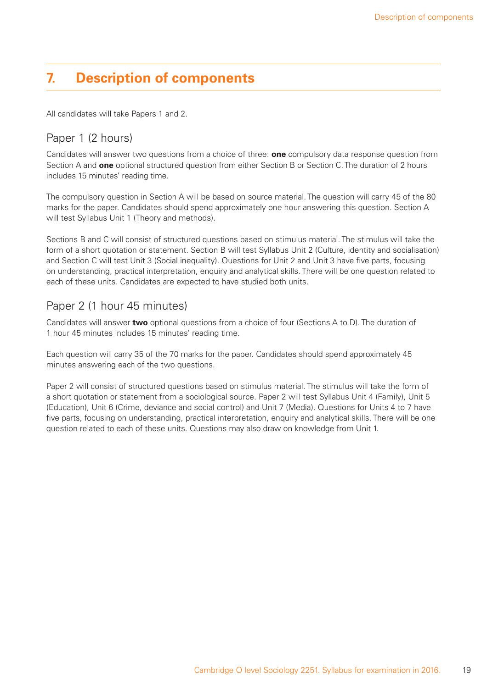# **7. Description of components**

All candidates will take Papers 1 and 2.

### Paper 1 (2 hours)

Candidates will answer two questions from a choice of three: **one** compulsory data response question from Section A and **one** optional structured question from either Section B or Section C. The duration of 2 hours includes 15 minutes' reading time.

The compulsory question in Section A will be based on source material. The question will carry 45 of the 80 marks for the paper. Candidates should spend approximately one hour answering this question. Section A will test Syllabus Unit 1 (Theory and methods).

Sections B and C will consist of structured questions based on stimulus material. The stimulus will take the form of a short quotation or statement. Section B will test Syllabus Unit 2 (Culture, identity and socialisation) and Section C will test Unit 3 (Social inequality). Questions for Unit 2 and Unit 3 have five parts, focusing on understanding, practical interpretation, enquiry and analytical skills. There will be one question related to each of these units. Candidates are expected to have studied both units.

# Paper 2 (1 hour 45 minutes)

Candidates will answer **two** optional questions from a choice of four (Sections A to D). The duration of 1 hour 45 minutes includes 15 minutes' reading time.

Each question will carry 35 of the 70 marks for the paper. Candidates should spend approximately 45 minutes answering each of the two questions.

Paper 2 will consist of structured questions based on stimulus material. The stimulus will take the form of a short quotation or statement from a sociological source. Paper 2 will test Syllabus Unit 4 (Family), Unit 5 (Education), Unit 6 (Crime, deviance and social control) and Unit 7 (Media). Questions for Units 4 to 7 have five parts, focusing on understanding, practical interpretation, enquiry and analytical skills. There will be one question related to each of these units. Questions may also draw on knowledge from Unit 1.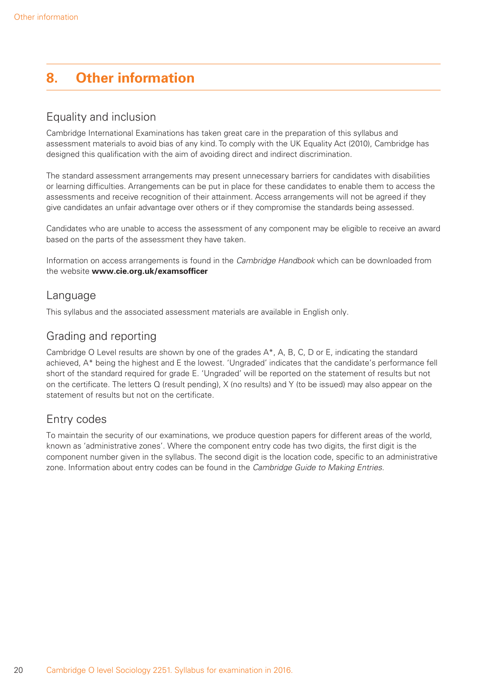# **8. Other information**

# Equality and inclusion

Cambridge International Examinations has taken great care in the preparation of this syllabus and assessment materials to avoid bias of any kind. To comply with the UK Equality Act (2010), Cambridge has designed this qualification with the aim of avoiding direct and indirect discrimination.

The standard assessment arrangements may present unnecessary barriers for candidates with disabilities or learning difficulties. Arrangements can be put in place for these candidates to enable them to access the assessments and receive recognition of their attainment. Access arrangements will not be agreed if they give candidates an unfair advantage over others or if they compromise the standards being assessed.

Candidates who are unable to access the assessment of any component may be eligible to receive an award based on the parts of the assessment they have taken.

Information on access arrangements is found in the *Cambridge Handbook* which can be downloaded from the website **www.cie.org.uk/examsofficer**

### Language

This syllabus and the associated assessment materials are available in English only.

# Grading and reporting

Cambridge O Level results are shown by one of the grades A\*, A, B, C, D or E, indicating the standard achieved, A\* being the highest and E the lowest. 'Ungraded' indicates that the candidate's performance fell short of the standard required for grade E. 'Ungraded' will be reported on the statement of results but not on the certificate. The letters Q (result pending), X (no results) and Y (to be issued) may also appear on the statement of results but not on the certificate.

# Entry codes

To maintain the security of our examinations, we produce question papers for different areas of the world, known as 'administrative zones'. Where the component entry code has two digits, the first digit is the component number given in the syllabus. The second digit is the location code, specific to an administrative zone. Information about entry codes can be found in the *Cambridge Guide to Making Entries*.